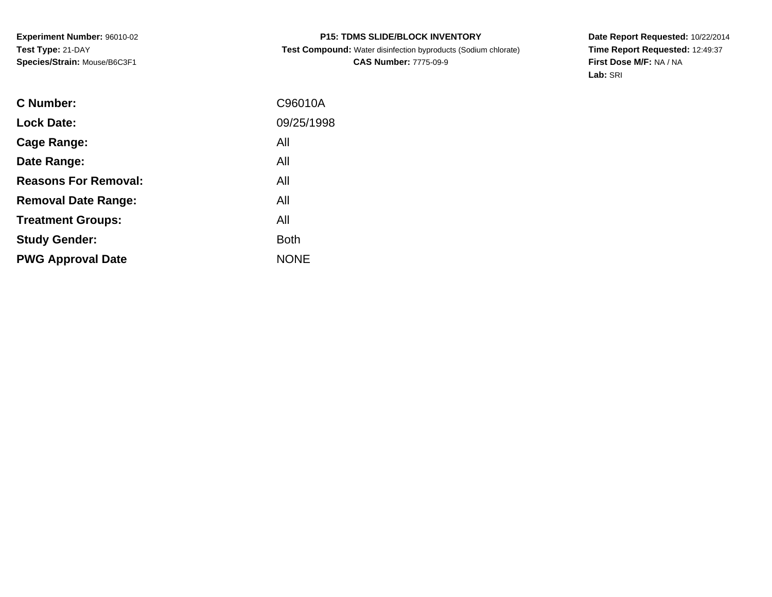# **P15: TDMS SLIDE/BLOCK INVENTORY**

 **Test Compound:** Water disinfection byproducts (Sodium chlorate)**CAS Number:** 7775-09-9

**Date Report Requested:** 10/22/2014 **Time Report Requested:** 12:49:37**First Dose M/F:** NA / NA**Lab:** SRI

| C96010A     |
|-------------|
| 09/25/1998  |
| All         |
| All         |
| All         |
| All         |
| All         |
| <b>Both</b> |
| <b>NONE</b> |
|             |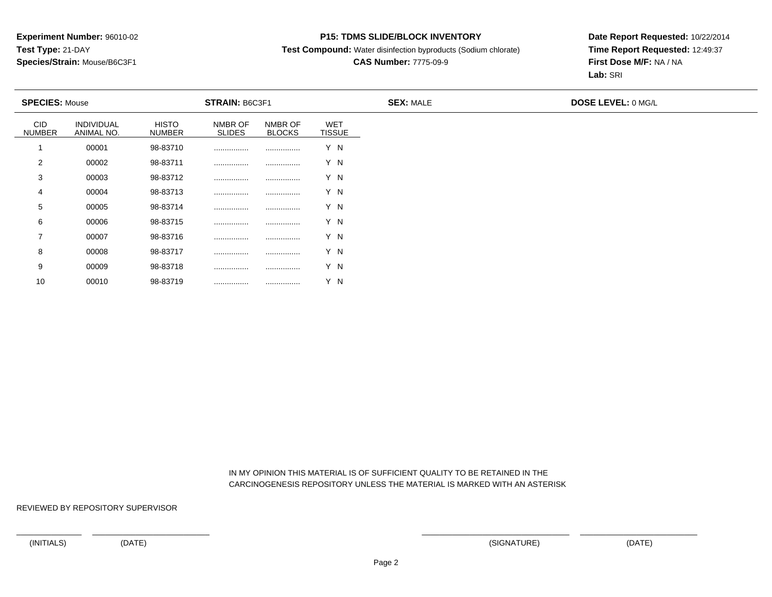### **P15: TDMS SLIDE/BLOCK INVENTORY**

**Test Compound:** Water disinfection byproducts (Sodium chlorate)

# **CAS Number:** 7775-09-9

**Date Report Requested:** 10/22/2014**Time Report Requested:** 12:49:37**First Dose M/F:** NA / NA**Lab:** SRI

| <b>SPECIES: Mouse</b> |                                 |                               | <b>STRAIN: B6C3F1</b>    |                          |                             | <b>SEX: MALE</b> | <b>DOSE LEVEL: 0 MG/L</b> |
|-----------------------|---------------------------------|-------------------------------|--------------------------|--------------------------|-----------------------------|------------------|---------------------------|
| CID<br><b>NUMBER</b>  | <b>INDIVIDUAL</b><br>ANIMAL NO. | <b>HISTO</b><br><b>NUMBER</b> | NMBR OF<br><b>SLIDES</b> | NMBR OF<br><b>BLOCKS</b> | <b>WET</b><br><b>TISSUE</b> |                  |                           |
|                       | 00001                           | 98-83710                      |                          |                          | Y N                         |                  |                           |
| 2                     | 00002                           | 98-83711                      |                          |                          | Y N                         |                  |                           |
| 3                     | 00003                           | 98-83712                      |                          |                          | Y N                         |                  |                           |
| 4                     | 00004                           | 98-83713                      |                          |                          | Y N                         |                  |                           |
| 5                     | 00005                           | 98-83714                      |                          |                          | Y N                         |                  |                           |
| 6                     | 00006                           | 98-83715                      |                          |                          | Y N                         |                  |                           |
| $\overline{ }$        | 00007                           | 98-83716                      |                          |                          | Y N                         |                  |                           |
| 8                     | 00008                           | 98-83717                      |                          |                          | Y N                         |                  |                           |
| 9                     | 00009                           | 98-83718                      |                          |                          | Y N                         |                  |                           |

 IN MY OPINION THIS MATERIAL IS OF SUFFICIENT QUALITY TO BE RETAINED IN THECARCINOGENESIS REPOSITORY UNLESS THE MATERIAL IS MARKED WITH AN ASTERISK

REVIEWED BY REPOSITORY SUPERVISOR

10

<sup>00010</sup> 98-83719 ................ ................ Y N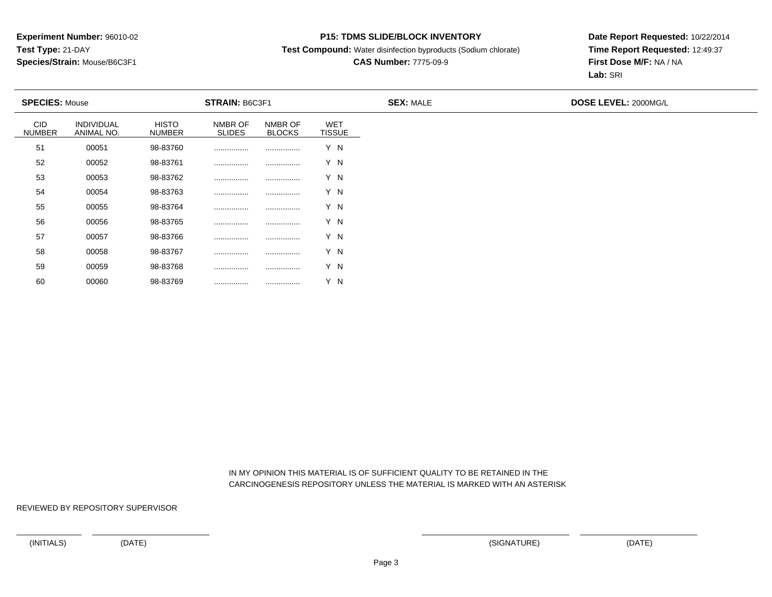### **P15: TDMS SLIDE/BLOCK INVENTORY**

**Test Compound:** Water disinfection byproducts (Sodium chlorate)

## **CAS Number:** 7775-09-9

**Date Report Requested:** 10/22/2014**Time Report Requested:** 12:49:37**First Dose M/F:** NA / NA**Lab:** SRI

| <b>SPECIES: Mouse</b>       |                          |                               | STRAIN: B6C3F1           |                          |                             | <b>SEX: MALE</b> | DOSE LEVEL: 2000MG/L |
|-----------------------------|--------------------------|-------------------------------|--------------------------|--------------------------|-----------------------------|------------------|----------------------|
| <b>CID</b><br><b>NUMBER</b> | INDIVIDUAL<br>ANIMAL NO. | <b>HISTO</b><br><b>NUMBER</b> | NMBR OF<br><b>SLIDES</b> | NMBR OF<br><b>BLOCKS</b> | <b>WET</b><br><b>TISSUE</b> |                  |                      |
| 51                          | 00051                    | 98-83760                      |                          |                          | Y N                         |                  |                      |
| 52                          | 00052                    | 98-83761                      |                          |                          | Y N                         |                  |                      |
| 53                          | 00053                    | 98-83762                      |                          |                          | Y N                         |                  |                      |
| 54                          | 00054                    | 98-83763                      |                          |                          | Y N                         |                  |                      |
| 55                          | 00055                    | 98-83764                      |                          |                          | Y N                         |                  |                      |
| 56                          | 00056                    | 98-83765                      |                          |                          | Y N                         |                  |                      |
| 57                          | 00057                    | 98-83766                      |                          |                          | Y N                         |                  |                      |
| 58                          | 00058                    | 98-83767                      |                          |                          | Y N                         |                  |                      |
| 59                          | 00059                    | 98-83768                      |                          |                          | Y N                         |                  |                      |

 IN MY OPINION THIS MATERIAL IS OF SUFFICIENT QUALITY TO BE RETAINED IN THECARCINOGENESIS REPOSITORY UNLESS THE MATERIAL IS MARKED WITH AN ASTERISK

REVIEWED BY REPOSITORY SUPERVISOR

60

<sup>00060</sup> 98-83769 ................ ................ Y N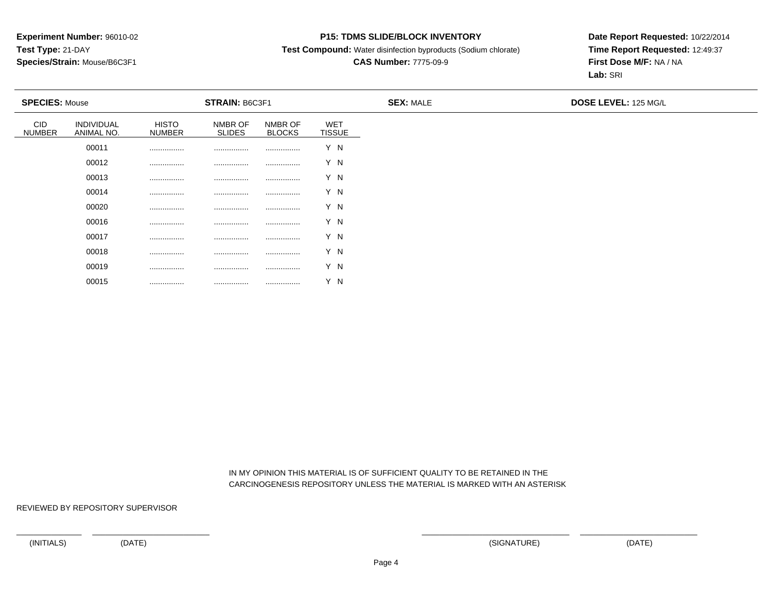### **P15: TDMS SLIDE/BLOCK INVENTORY**

**Test Compound:** Water disinfection byproducts (Sodium chlorate)

# **CAS Number:** 7775-09-9

**Date Report Requested:** 10/22/2014**Time Report Requested:** 12:49:37**First Dose M/F:** NA / NA**Lab:** SRI

| <b>SPECIES: Mouse</b>       |                          |                               | STRAIN: B6C3F1           |                          |                             | <b>SEX: MALE</b> | <b>DOSE LEVEL: 125 MG/L</b> |  |
|-----------------------------|--------------------------|-------------------------------|--------------------------|--------------------------|-----------------------------|------------------|-----------------------------|--|
| <b>CID</b><br><b>NUMBER</b> | INDIVIDUAL<br>ANIMAL NO. | <b>HISTO</b><br><b>NUMBER</b> | NMBR OF<br><b>SLIDES</b> | NMBR OF<br><b>BLOCKS</b> | <b>WET</b><br><b>TISSUE</b> |                  |                             |  |
|                             | 00011                    |                               |                          |                          | Y N                         |                  |                             |  |
|                             | 00012                    |                               | .                        |                          | Y N                         |                  |                             |  |
|                             | 00013                    | .                             |                          |                          | Y N                         |                  |                             |  |
|                             | 00014                    |                               |                          |                          | Y N                         |                  |                             |  |
|                             | 00020                    |                               |                          |                          | Y N                         |                  |                             |  |
|                             | 00016                    |                               |                          |                          | Y N                         |                  |                             |  |
|                             | 00017                    |                               |                          |                          | Y N                         |                  |                             |  |
|                             | 00018                    |                               |                          |                          | Y N                         |                  |                             |  |
|                             | 00019                    |                               | .                        |                          | Y N                         |                  |                             |  |

 IN MY OPINION THIS MATERIAL IS OF SUFFICIENT QUALITY TO BE RETAINED IN THECARCINOGENESIS REPOSITORY UNLESS THE MATERIAL IS MARKED WITH AN ASTERISK

REVIEWED BY REPOSITORY SUPERVISOR

00015

................ ................ ................ Y N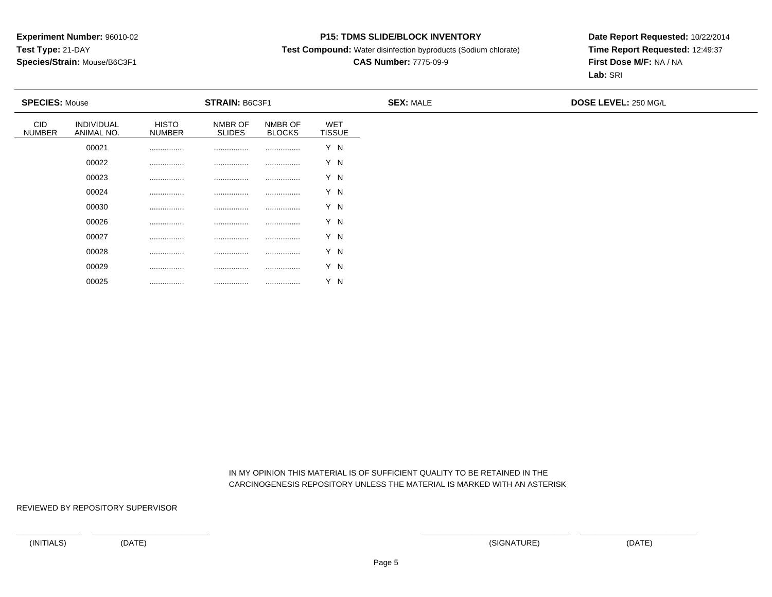### **P15: TDMS SLIDE/BLOCK INVENTORY**

**Test Compound:** Water disinfection byproducts (Sodium chlorate)

# **CAS Number:** 7775-09-9

**Date Report Requested:** 10/22/2014**Time Report Requested:** 12:49:37**First Dose M/F:** NA / NA**Lab:** SRI

| <b>SPECIES: Mouse</b>       |                          |                               | STRAIN: B6C3F1           |                          |                             | <b>SEX: MALE</b> | DOSE LEVEL: 250 MG/L |  |
|-----------------------------|--------------------------|-------------------------------|--------------------------|--------------------------|-----------------------------|------------------|----------------------|--|
| <b>CID</b><br><b>NUMBER</b> | INDIVIDUAL<br>ANIMAL NO. | <b>HISTO</b><br><b>NUMBER</b> | NMBR OF<br><b>SLIDES</b> | NMBR OF<br><b>BLOCKS</b> | <b>WET</b><br><b>TISSUE</b> |                  |                      |  |
|                             | 00021                    |                               |                          |                          | Y N                         |                  |                      |  |
|                             | 00022                    |                               |                          |                          | Y N                         |                  |                      |  |
|                             | 00023                    |                               |                          |                          | Y N                         |                  |                      |  |
|                             | 00024                    |                               |                          |                          | Y N                         |                  |                      |  |
|                             | 00030                    | .                             |                          |                          | Y N                         |                  |                      |  |
|                             | 00026                    | .                             | .                        |                          | Y N                         |                  |                      |  |
|                             | 00027                    | .                             | .                        |                          | Y N                         |                  |                      |  |
|                             | 00028                    | .                             | .                        |                          | Y N                         |                  |                      |  |
|                             | 00029                    | .                             |                          |                          | Y N                         |                  |                      |  |

 IN MY OPINION THIS MATERIAL IS OF SUFFICIENT QUALITY TO BE RETAINED IN THECARCINOGENESIS REPOSITORY UNLESS THE MATERIAL IS MARKED WITH AN ASTERISK

REVIEWED BY REPOSITORY SUPERVISOR

00025

................ ................ ................ Y N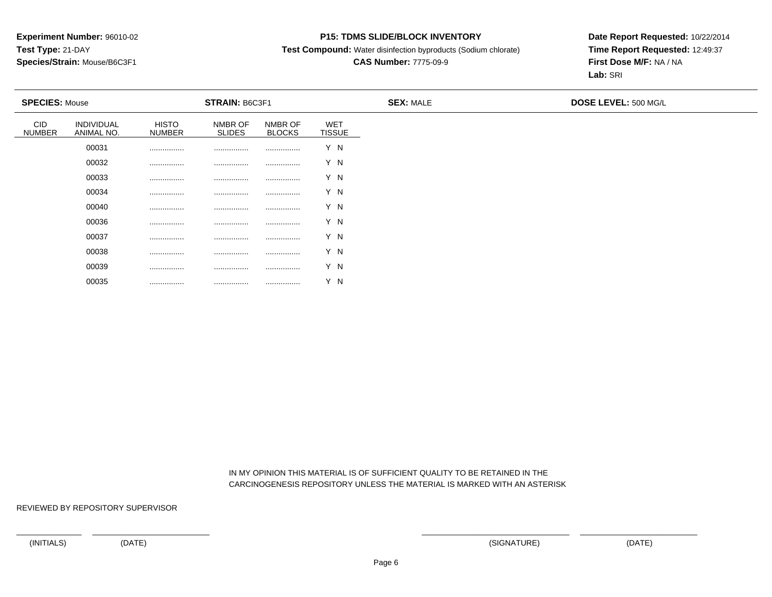### **P15: TDMS SLIDE/BLOCK INVENTORY**

**Test Compound:** Water disinfection byproducts (Sodium chlorate)

# **CAS Number:** 7775-09-9

**Date Report Requested:** 10/22/2014**Time Report Requested:** 12:49:37**First Dose M/F:** NA / NA**Lab:** SRI

| <b>SPECIES: Mouse</b>       |                          |                               | <b>STRAIN: B6C3F1</b>    |                          |                      | <b>SEX: MALE</b> | <b>DOSE LEVEL: 500 MG/L</b> |
|-----------------------------|--------------------------|-------------------------------|--------------------------|--------------------------|----------------------|------------------|-----------------------------|
| <b>CID</b><br><b>NUMBER</b> | INDIVIDUAL<br>ANIMAL NO. | <b>HISTO</b><br><b>NUMBER</b> | NMBR OF<br><b>SLIDES</b> | NMBR OF<br><b>BLOCKS</b> | WET<br><b>TISSUE</b> |                  |                             |
|                             | 00031                    | .                             | .                        | .                        | Y N                  |                  |                             |
|                             | 00032                    |                               | .                        |                          | Y N                  |                  |                             |
|                             | 00033                    | .                             | .                        |                          | Y N                  |                  |                             |
|                             | 00034                    | .                             |                          |                          | Y N                  |                  |                             |
|                             | 00040                    |                               |                          |                          | Y N                  |                  |                             |
|                             | 00036                    |                               | .                        |                          | Y N                  |                  |                             |
|                             | 00037                    | .                             | .                        |                          | Y N                  |                  |                             |
|                             | 00038                    | .                             | .                        | .                        | Y N                  |                  |                             |
|                             | 00039                    | .                             | .                        |                          | Y N                  |                  |                             |

 IN MY OPINION THIS MATERIAL IS OF SUFFICIENT QUALITY TO BE RETAINED IN THECARCINOGENESIS REPOSITORY UNLESS THE MATERIAL IS MARKED WITH AN ASTERISK

REVIEWED BY REPOSITORY SUPERVISOR

00035

................ ................ ................ Y N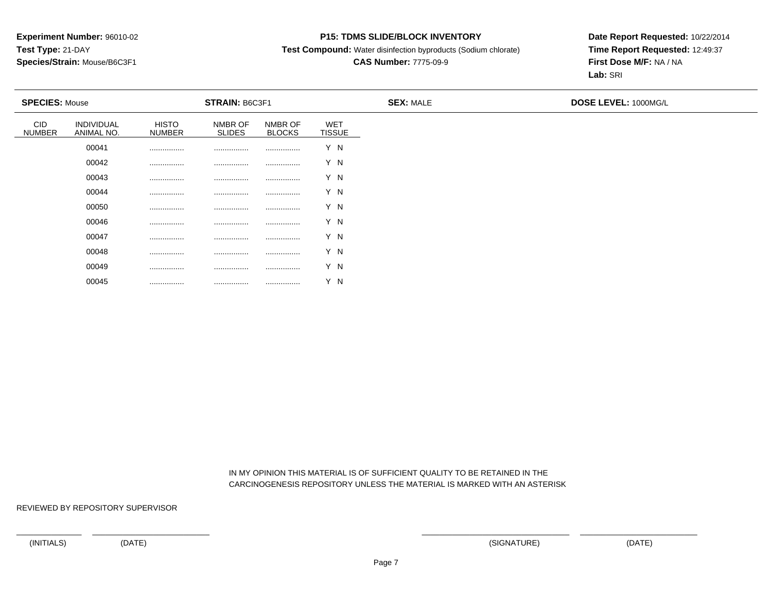### **P15: TDMS SLIDE/BLOCK INVENTORY**

**Test Compound:** Water disinfection byproducts (Sodium chlorate)

# **CAS Number:** 7775-09-9

**Date Report Requested:** 10/22/2014**Time Report Requested:** 12:49:37**First Dose M/F:** NA / NA**Lab:** SRI

| <b>SPECIES: Mouse</b>       |                          |                               | STRAIN: B6C3F1           |                          |                             | <b>SEX: MALE</b> | DOSE LEVEL: 1000MG/L |  |
|-----------------------------|--------------------------|-------------------------------|--------------------------|--------------------------|-----------------------------|------------------|----------------------|--|
| <b>CID</b><br><b>NUMBER</b> | INDIVIDUAL<br>ANIMAL NO. | <b>HISTO</b><br><b>NUMBER</b> | NMBR OF<br><b>SLIDES</b> | NMBR OF<br><b>BLOCKS</b> | <b>WET</b><br><b>TISSUE</b> |                  |                      |  |
|                             | 00041                    |                               |                          |                          | Y N                         |                  |                      |  |
|                             | 00042                    |                               | .                        |                          | Y N                         |                  |                      |  |
|                             | 00043                    |                               |                          |                          | Y N                         |                  |                      |  |
|                             | 00044                    |                               | .                        |                          | Y N                         |                  |                      |  |
|                             | 00050                    |                               | .                        |                          | Y N                         |                  |                      |  |
|                             | 00046                    |                               |                          |                          | Y N                         |                  |                      |  |
|                             | 00047                    |                               | .                        |                          | Y N                         |                  |                      |  |
|                             | 00048                    |                               | .                        |                          | Y N                         |                  |                      |  |
|                             | 00049                    |                               |                          | .                        | Y N                         |                  |                      |  |

 IN MY OPINION THIS MATERIAL IS OF SUFFICIENT QUALITY TO BE RETAINED IN THECARCINOGENESIS REPOSITORY UNLESS THE MATERIAL IS MARKED WITH AN ASTERISK

REVIEWED BY REPOSITORY SUPERVISOR

00045

................ ................ ................ Y N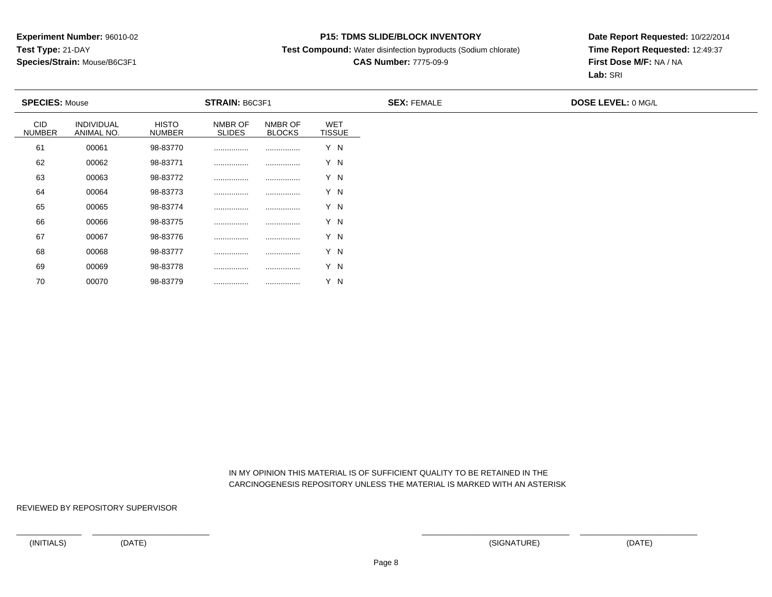### **P15: TDMS SLIDE/BLOCK INVENTORY**

**Test Compound:** Water disinfection byproducts (Sodium chlorate)

## **CAS Number:** 7775-09-9

**Date Report Requested:** 10/22/2014**Time Report Requested:** 12:49:37**First Dose M/F:** NA / NA**Lab:** SRI

| <b>SPECIES: Mouse</b> |                          |                               | STRAIN: B6C3F1           |                          |                             | <b>SEX: FEMALE</b> | <b>DOSE LEVEL: 0 MG/L</b> |
|-----------------------|--------------------------|-------------------------------|--------------------------|--------------------------|-----------------------------|--------------------|---------------------------|
| CID<br><b>NUMBER</b>  | INDIVIDUAL<br>ANIMAL NO. | <b>HISTO</b><br><b>NUMBER</b> | NMBR OF<br><b>SLIDES</b> | NMBR OF<br><b>BLOCKS</b> | <b>WET</b><br><b>TISSUE</b> |                    |                           |
| 61                    | 00061                    | 98-83770                      |                          |                          | Y N                         |                    |                           |
| 62                    | 00062                    | 98-83771                      |                          |                          | Y N                         |                    |                           |
| 63                    | 00063                    | 98-83772                      |                          |                          | Y N                         |                    |                           |
| 64                    | 00064                    | 98-83773                      |                          |                          | Y N                         |                    |                           |
| 65                    | 00065                    | 98-83774                      |                          |                          | Y N                         |                    |                           |
| 66                    | 00066                    | 98-83775                      |                          |                          | Y N                         |                    |                           |
| 67                    | 00067                    | 98-83776                      |                          |                          | Y N                         |                    |                           |
| 68                    | 00068                    | 98-83777                      |                          |                          | Y N                         |                    |                           |
| 69                    | 00069                    | 98-83778                      |                          |                          | Y N                         |                    |                           |

 IN MY OPINION THIS MATERIAL IS OF SUFFICIENT QUALITY TO BE RETAINED IN THECARCINOGENESIS REPOSITORY UNLESS THE MATERIAL IS MARKED WITH AN ASTERISK

REVIEWED BY REPOSITORY SUPERVISOR

70

<sup>00070</sup> 98-83779 ................ ................ Y N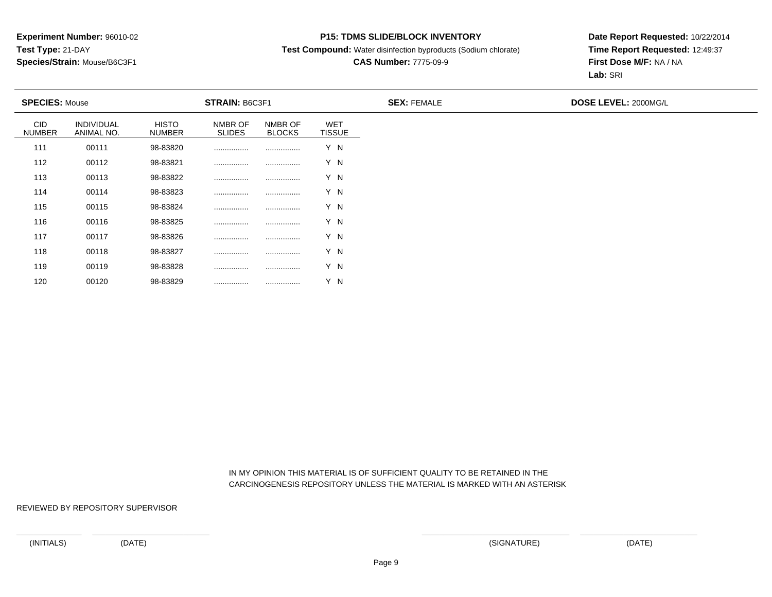### **P15: TDMS SLIDE/BLOCK INVENTORY**

**Test Compound:** Water disinfection byproducts (Sodium chlorate)

## **CAS Number:** 7775-09-9

**Date Report Requested:** 10/22/2014**Time Report Requested:** 12:49:37**First Dose M/F:** NA / NA**Lab:** SRI

| <b>SPECIES: Mouse</b> |                          |                               | STRAIN: B6C3F1           |                          |                             | <b>SEX: FEMALE</b> | DOSE LEVEL: 2000MG/L |
|-----------------------|--------------------------|-------------------------------|--------------------------|--------------------------|-----------------------------|--------------------|----------------------|
| CID<br><b>NUMBER</b>  | INDIVIDUAL<br>ANIMAL NO. | <b>HISTO</b><br><b>NUMBER</b> | NMBR OF<br><b>SLIDES</b> | NMBR OF<br><b>BLOCKS</b> | <b>WET</b><br><b>TISSUE</b> |                    |                      |
| 111                   | 00111                    | 98-83820                      |                          |                          | Y N                         |                    |                      |
| 112                   | 00112                    | 98-83821                      |                          |                          | Y N                         |                    |                      |
| 113                   | 00113                    | 98-83822                      |                          |                          | Y N                         |                    |                      |
| 114                   | 00114                    | 98-83823                      |                          |                          | Y N                         |                    |                      |
| 115                   | 00115                    | 98-83824                      |                          |                          | Y N                         |                    |                      |
| 116                   | 00116                    | 98-83825                      |                          |                          | Y N                         |                    |                      |
| 117                   | 00117                    | 98-83826                      |                          |                          | Y N                         |                    |                      |
| 118                   | 00118                    | 98-83827                      |                          |                          | Y N                         |                    |                      |
| 119                   | 00119                    | 98-83828                      |                          |                          | Y N                         |                    |                      |

 IN MY OPINION THIS MATERIAL IS OF SUFFICIENT QUALITY TO BE RETAINED IN THECARCINOGENESIS REPOSITORY UNLESS THE MATERIAL IS MARKED WITH AN ASTERISK

REVIEWED BY REPOSITORY SUPERVISOR

120

<sup>00120</sup> 98-83829 ................ ................ Y N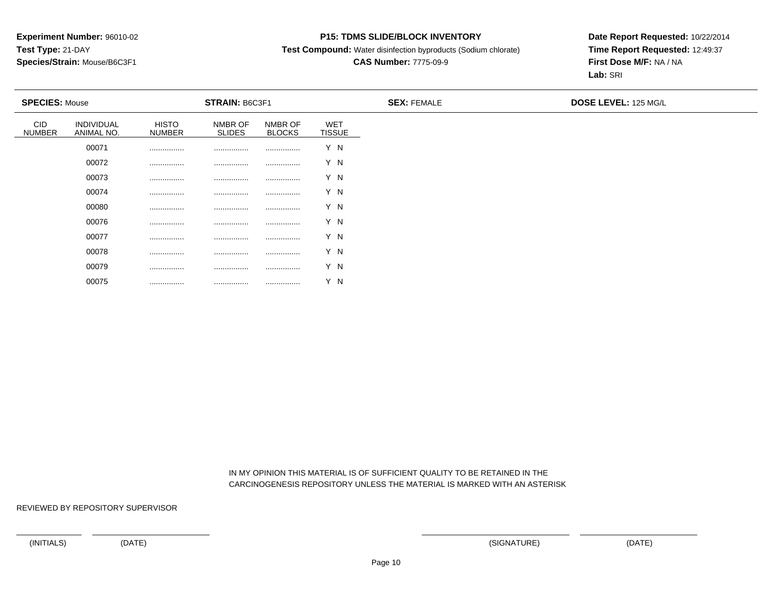### **P15: TDMS SLIDE/BLOCK INVENTORY**

**Test Compound:** Water disinfection byproducts (Sodium chlorate)

# **CAS Number:** 7775-09-9

**Date Report Requested:** 10/22/2014**Time Report Requested:** 12:49:37**First Dose M/F:** NA / NA**Lab:** SRI

| <b>SPECIES: Mouse</b>       |                          |                               | <b>STRAIN: B6C3F1</b>    |                          |                      | <b>SEX: FEMALE</b> | DOSE LEVEL: 125 MG/L |
|-----------------------------|--------------------------|-------------------------------|--------------------------|--------------------------|----------------------|--------------------|----------------------|
| <b>CID</b><br><b>NUMBER</b> | INDIVIDUAL<br>ANIMAL NO. | <b>HISTO</b><br><b>NUMBER</b> | NMBR OF<br><b>SLIDES</b> | NMBR OF<br><b>BLOCKS</b> | WET<br><b>TISSUE</b> |                    |                      |
|                             | 00071                    |                               |                          |                          | Y N                  |                    |                      |
|                             | 00072                    |                               | .                        | .                        | Y N                  |                    |                      |
|                             | 00073                    |                               |                          | .                        | Y N                  |                    |                      |
|                             | 00074                    |                               |                          |                          | Y N                  |                    |                      |
|                             | 00080                    |                               | .                        | .                        | Y N                  |                    |                      |
|                             | 00076                    |                               | .                        |                          | Y N                  |                    |                      |
|                             | 00077                    |                               |                          |                          | Y N                  |                    |                      |
|                             | 00078                    | .                             | .                        | .                        | Y N                  |                    |                      |
|                             | 00079                    |                               | .                        |                          | Y N                  |                    |                      |

 IN MY OPINION THIS MATERIAL IS OF SUFFICIENT QUALITY TO BE RETAINED IN THECARCINOGENESIS REPOSITORY UNLESS THE MATERIAL IS MARKED WITH AN ASTERISK

REVIEWED BY REPOSITORY SUPERVISOR

00075

................ ................ ................ Y N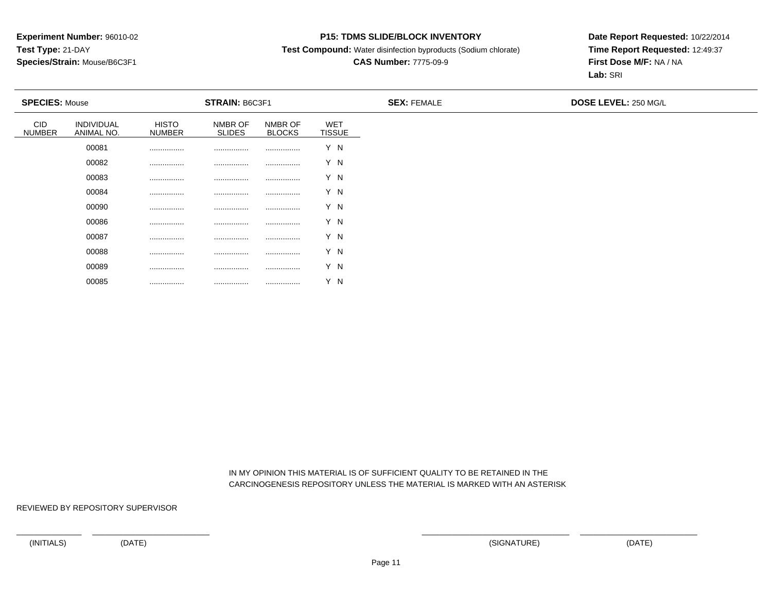### **P15: TDMS SLIDE/BLOCK INVENTORY**

**Test Compound:** Water disinfection byproducts (Sodium chlorate)

# **CAS Number:** 7775-09-9

**Date Report Requested:** 10/22/2014**Time Report Requested:** 12:49:37**First Dose M/F:** NA / NA**Lab:** SRI

| <b>SPECIES: Mouse</b>       |                          |                               | <b>STRAIN: B6C3F1</b>    |                          |                      | <b>SEX: FEMALE</b> | <b>DOSE LEVEL: 250 MG/L</b> |
|-----------------------------|--------------------------|-------------------------------|--------------------------|--------------------------|----------------------|--------------------|-----------------------------|
| <b>CID</b><br><b>NUMBER</b> | INDIVIDUAL<br>ANIMAL NO. | <b>HISTO</b><br><b>NUMBER</b> | NMBR OF<br><b>SLIDES</b> | NMBR OF<br><b>BLOCKS</b> | WET<br><b>TISSUE</b> |                    |                             |
|                             | 00081                    |                               | .                        |                          | Y N                  |                    |                             |
|                             | 00082                    |                               | .                        |                          | Y N                  |                    |                             |
|                             | 00083                    | .                             | .                        | .                        | Y N                  |                    |                             |
|                             | 00084                    | .                             | .                        | .                        | Y N                  |                    |                             |
|                             | 00090                    |                               | .                        |                          | Y N                  |                    |                             |
|                             | 00086                    |                               |                          |                          | Y N                  |                    |                             |
|                             | 00087                    | .                             |                          |                          | Y N                  |                    |                             |
|                             | 00088                    |                               | .                        |                          | Y N                  |                    |                             |
|                             | 00089                    |                               | .                        |                          | Y N                  |                    |                             |

 IN MY OPINION THIS MATERIAL IS OF SUFFICIENT QUALITY TO BE RETAINED IN THECARCINOGENESIS REPOSITORY UNLESS THE MATERIAL IS MARKED WITH AN ASTERISK

REVIEWED BY REPOSITORY SUPERVISOR

00085

................ ................ ................ Y N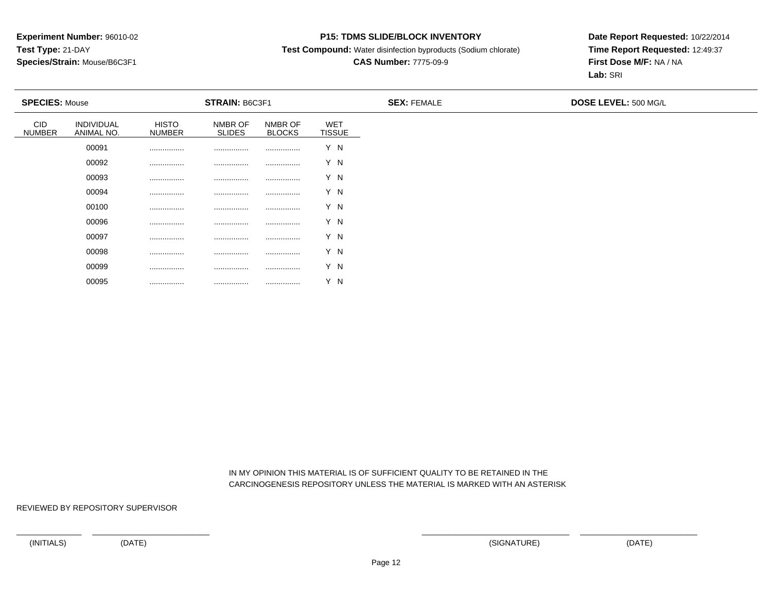### **P15: TDMS SLIDE/BLOCK INVENTORY**

**Test Compound:** Water disinfection byproducts (Sodium chlorate)

# **CAS Number:** 7775-09-9

**Date Report Requested:** 10/22/2014**Time Report Requested:** 12:49:37**First Dose M/F:** NA / NA**Lab:** SRI

| <b>SPECIES: Mouse</b>       |                          |                               | <b>STRAIN: B6C3F1</b>    |                          |                      | <b>SEX: FEMALE</b> | <b>DOSE LEVEL: 500 MG/L</b> |
|-----------------------------|--------------------------|-------------------------------|--------------------------|--------------------------|----------------------|--------------------|-----------------------------|
| <b>CID</b><br><b>NUMBER</b> | INDIVIDUAL<br>ANIMAL NO. | <b>HISTO</b><br><b>NUMBER</b> | NMBR OF<br><b>SLIDES</b> | NMBR OF<br><b>BLOCKS</b> | WET<br><b>TISSUE</b> |                    |                             |
|                             | 00091                    |                               | .                        |                          | Y N                  |                    |                             |
|                             | 00092                    |                               | .                        |                          | Y N                  |                    |                             |
|                             | 00093                    |                               | .                        |                          | Y N                  |                    |                             |
|                             | 00094                    |                               | .                        |                          | Y N                  |                    |                             |
|                             | 00100                    |                               |                          |                          | Y N                  |                    |                             |
|                             | 00096                    | .                             | .                        |                          | Y N                  |                    |                             |
|                             | 00097                    |                               |                          |                          | Y N                  |                    |                             |
|                             | 00098                    | .                             | .                        |                          | Y N                  |                    |                             |
|                             | 00099                    |                               |                          |                          | Y N                  |                    |                             |

 IN MY OPINION THIS MATERIAL IS OF SUFFICIENT QUALITY TO BE RETAINED IN THECARCINOGENESIS REPOSITORY UNLESS THE MATERIAL IS MARKED WITH AN ASTERISK

REVIEWED BY REPOSITORY SUPERVISOR

00095

................ ................ ................ Y N